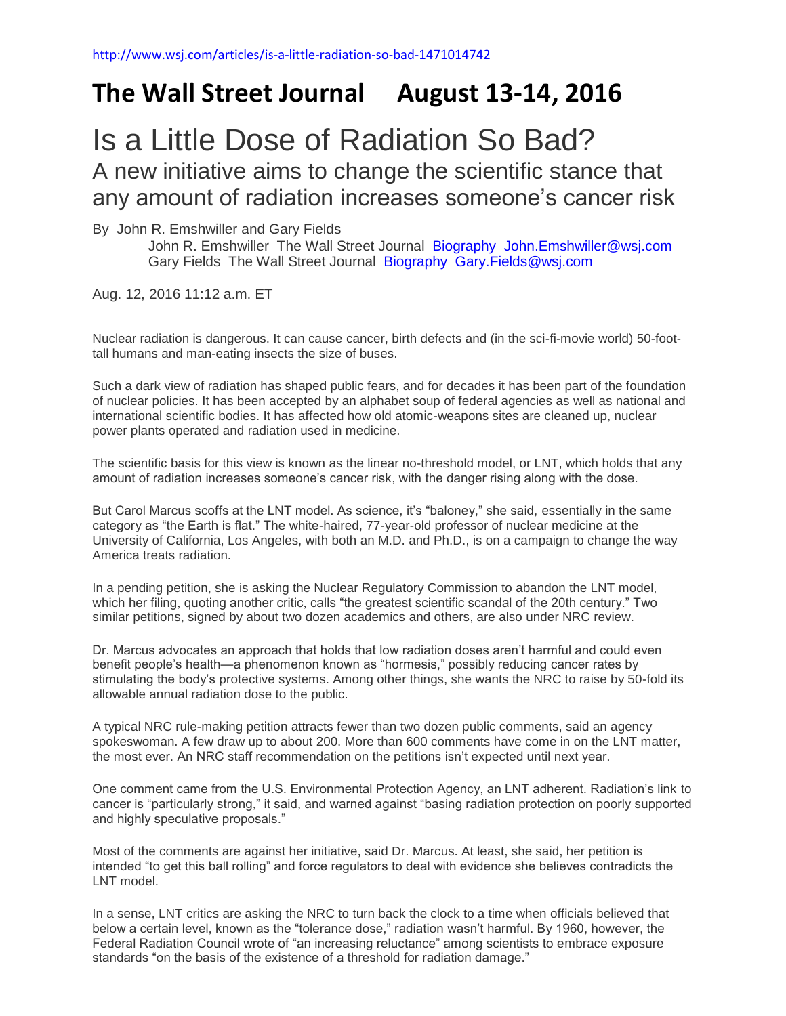## **The Wall Street Journal August 13-14, 2016**

## Is a Little Dose of Radiation So Bad? A new initiative aims to change the scientific stance that any amount of radiation increases someone's cancer risk

By John R. Emshwiller and Gary Fields

John R. Emshwiller The Wall Street Journal [Biography](http://topics.wsj.com/person/A/biography/1328) [John.Emshwiller@wsj.com](mailto:John.Emshwiller@wsj.com) Gary Fields The Wall Street Journal [Biography](http://topics.wsj.com/person/A/biography/1339) [Gary.Fields@wsj.com](mailto:Gary.Fields@wsj.com)

Aug. 12, 2016 11:12 a.m. ET

Nuclear radiation is dangerous. It can cause cancer, birth defects and (in the sci-fi-movie world) 50-foottall humans and man-eating insects the size of buses.

Such a dark view of radiation has shaped public fears, and for decades it has been part of the foundation of nuclear policies. It has been accepted by an alphabet soup of federal agencies as well as national and international scientific bodies. It has affected how old atomic-weapons sites are cleaned up, nuclear power plants operated and radiation used in medicine.

The scientific basis for this view is known as the linear no-threshold model, or LNT, which holds that any amount of radiation increases someone's cancer risk, with the danger rising along with the dose.

But Carol Marcus scoffs at the LNT model. As science, it's "baloney," she said, essentially in the same category as "the Earth is flat." The white-haired, 77-year-old professor of nuclear medicine at the University of California, Los Angeles, with both an M.D. and Ph.D., is on a campaign to change the way America treats radiation.

In a pending petition, she is asking the Nuclear Regulatory Commission to abandon the LNT model, which her filing, quoting another critic, calls "the greatest scientific scandal of the 20th century." Two similar petitions, signed by about two dozen academics and others, are also under NRC review.

Dr. Marcus advocates an approach that holds that low radiation doses aren't harmful and could even benefit people's health—a phenomenon known as "hormesis," possibly reducing cancer rates by stimulating the body's protective systems. Among other things, she wants the NRC to raise by 50-fold its allowable annual radiation dose to the public.

A typical NRC rule-making petition attracts fewer than two dozen public comments, said an agency spokeswoman. A few draw up to about 200. More than 600 comments have come in on the LNT matter, the most ever. An NRC staff recommendation on the petitions isn't expected until next year.

One comment came from the U.S. Environmental Protection Agency, an LNT adherent. Radiation's link to cancer is "particularly strong," it said, and warned against "basing radiation protection on poorly supported and highly speculative proposals."

Most of the comments are against her initiative, said Dr. Marcus. At least, she said, her petition is intended "to get this ball rolling" and force regulators to deal with evidence she believes contradicts the LNT model.

In a sense, LNT critics are asking the NRC to turn back the clock to a time when officials believed that below a certain level, known as the "tolerance dose," radiation wasn't harmful. By 1960, however, the Federal Radiation Council wrote of "an increasing reluctance" among scientists to embrace exposure standards "on the basis of the existence of a threshold for radiation damage."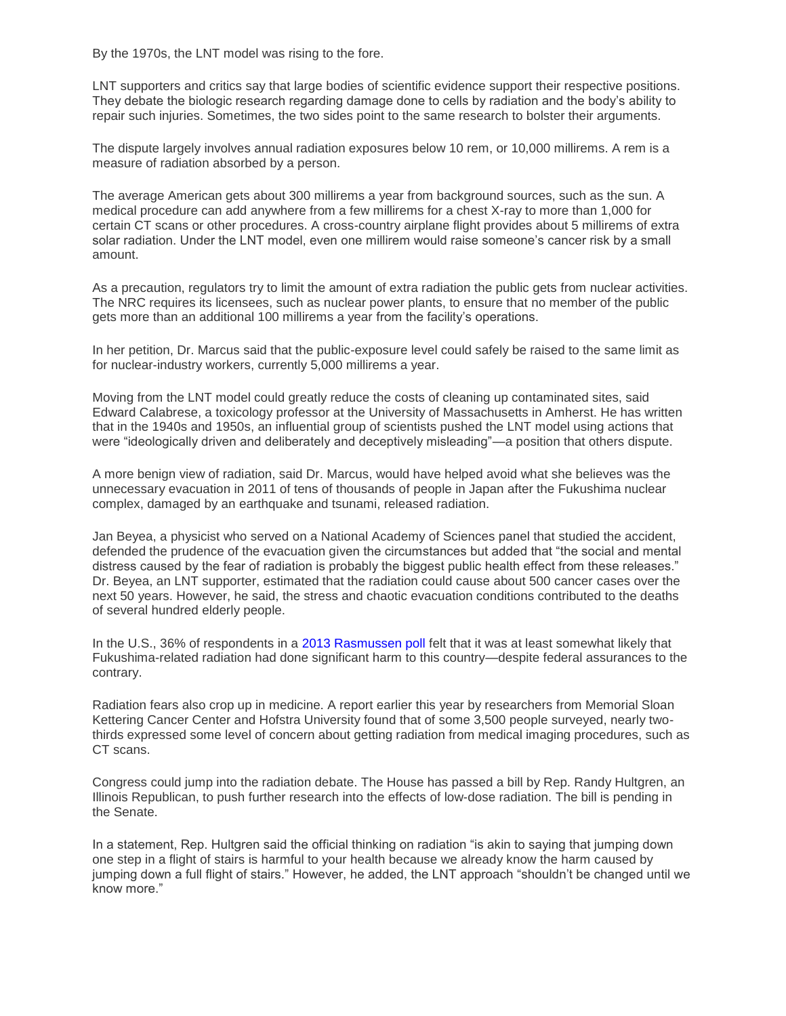By the 1970s, the LNT model was rising to the fore.

LNT supporters and critics say that large bodies of scientific evidence support their respective positions. They debate the biologic research regarding damage done to cells by radiation and the body's ability to repair such injuries. Sometimes, the two sides point to the same research to bolster their arguments.

The dispute largely involves annual radiation exposures below 10 rem, or 10,000 millirems. A rem is a measure of radiation absorbed by a person.

The average American gets about 300 millirems a year from background sources, such as the sun. A medical procedure can add anywhere from a few millirems for a chest X-ray to more than 1,000 for certain CT scans or other procedures. A cross-country airplane flight provides about 5 millirems of extra solar radiation. Under the LNT model, even one millirem would raise someone's cancer risk by a small amount.

As a precaution, regulators try to limit the amount of extra radiation the public gets from nuclear activities. The NRC requires its licensees, such as nuclear power plants, to ensure that no member of the public gets more than an additional 100 millirems a year from the facility's operations.

In her petition, Dr. Marcus said that the public-exposure level could safely be raised to the same limit as for nuclear-industry workers, currently 5,000 millirems a year.

Moving from the LNT model could greatly reduce the costs of cleaning up contaminated sites, said Edward Calabrese, a toxicology professor at the University of Massachusetts in Amherst. He has written that in the 1940s and 1950s, an influential group of scientists pushed the LNT model using actions that were "ideologically driven and deliberately and deceptively misleading"—a position that others dispute.

A more benign view of radiation, said Dr. Marcus, would have helped avoid what she believes was the unnecessary evacuation in 2011 of tens of thousands of people in Japan after the Fukushima nuclear complex, damaged by an earthquake and tsunami, released radiation.

Jan Beyea, a physicist who served on a National Academy of Sciences panel that studied the accident, defended the prudence of the evacuation given the circumstances but added that "the social and mental distress caused by the fear of radiation is probably the biggest public health effect from these releases." Dr. Beyea, an LNT supporter, estimated that the radiation could cause about 500 cancer cases over the next 50 years. However, he said, the stress and chaotic evacuation conditions contributed to the deaths of several hundred elderly people.

In the U.S., 36% of respondents in a [2013 Rasmussen poll](http://www.rasmussenreports.com/public_content/politics/current_events/japan/36_think_radiation_from_japanese_nuclear_disaster_hurt_the_u_s) felt that it was at least somewhat likely that Fukushima-related radiation had done significant harm to this country—despite federal assurances to the contrary.

Radiation fears also crop up in medicine. A report earlier this year by researchers from Memorial Sloan Kettering Cancer Center and Hofstra University found that of some 3,500 people surveyed, nearly twothirds expressed some level of concern about getting radiation from medical imaging procedures, such as CT scans.

Congress could jump into the radiation debate. The House has passed a bill by Rep. Randy Hultgren, an Illinois Republican, to push further research into the effects of low-dose radiation. The bill is pending in the Senate.

In a statement, Rep. Hultgren said the official thinking on radiation "is akin to saying that jumping down one step in a flight of stairs is harmful to your health because we already know the harm caused by jumping down a full flight of stairs." However, he added, the LNT approach "shouldn't be changed until we know more."